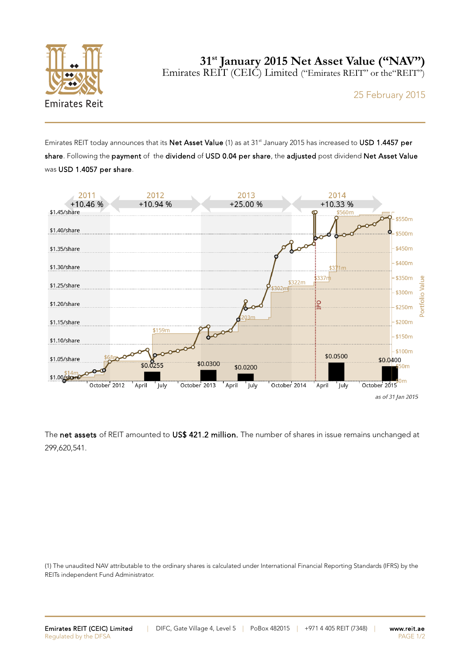

25 February 2015

Emirates REIT today announces that its Net Asset Value (1) as at 31<sup>st</sup> January 2015 has increased to USD 1.4457 per share. Following the payment of the dividend of USD 0.04 per share, the adjusted post dividend Net Asset Value was USD 1.4057 per share.



The net assets of REIT amounted to US\$ 421.2 million. The number of shares in issue remains unchanged at 299,620,541.

(1) The unaudited NAV attributable to the ordinary shares is calculated under International Financial Reporting Standards (IFRS) by the REITs independent Fund Administrator.